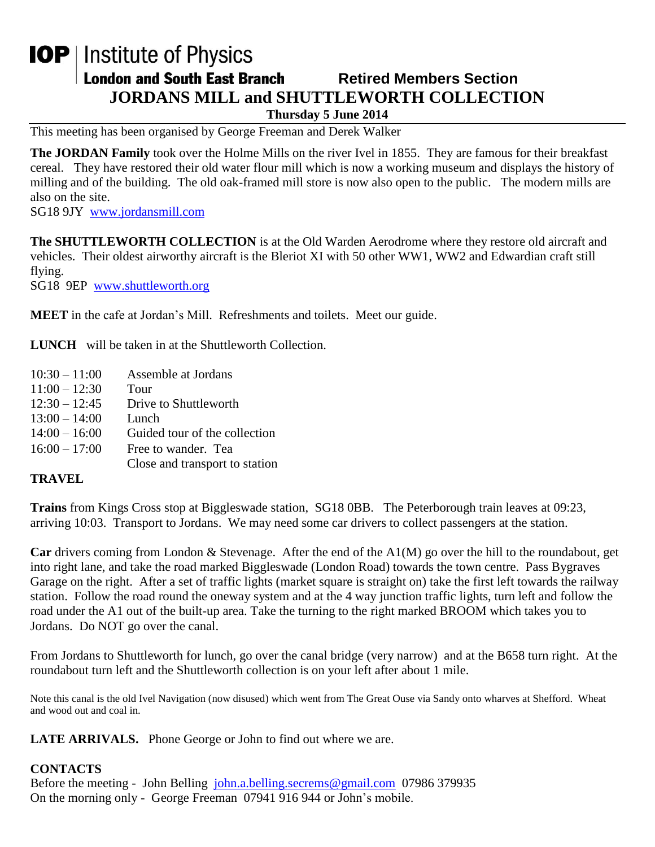## **IOP** | Institute of Physics **London and South East Branch Retired Members Section JORDANS MILL and SHUTTLEWORTH COLLECTION Thursday 5 June 2014**

This meeting has been organised by George Freeman and Derek Walker

**The JORDAN Family** took over the Holme Mills on the river Ivel in 1855. They are famous for their breakfast cereal. They have restored their old water flour mill which is now a working museum and displays the history of milling and of the building. The old oak-framed mill store is now also open to the public. The modern mills are also on the site.

SG18 9JY [www.jordansmill.com](http://www.jordansmill.com/)

**The SHUTTLEWORTH COLLECTION** is at the Old Warden Aerodrome where they restore old aircraft and vehicles. Their oldest airworthy aircraft is the Bleriot XI with 50 other WW1, WW2 and Edwardian craft still flying.

SG18 9EP [www.shuttleworth.org](http://www.shuttleworth.org/)

**MEET** in the cafe at Jordan's Mill. Refreshments and toilets. Meet our guide.

**LUNCH** will be taken in at the Shuttleworth Collection.

10:30 – 11:00 Assemble at Jordans  $11:00 - 12:30$  Tour 12:30 – 12:45 Drive to Shuttleworth 13:00 – 14:00 Lunch 14:00 – 16:00 Guided tour of the collection  $16:00 - 17:00$  Free to wander. Tea Close and transport to station

## **TRAVEL**

**Trains** from Kings Cross stop at Biggleswade station, SG18 0BB. The Peterborough train leaves at 09:23, arriving 10:03. Transport to Jordans. We may need some car drivers to collect passengers at the station.

**Car** drivers coming from London & Stevenage. After the end of the A1(M) go over the hill to the roundabout, get into right lane, and take the road marked Biggleswade (London Road) towards the town centre. Pass Bygraves Garage on the right. After a set of traffic lights (market square is straight on) take the first left towards the railway station. Follow the road round the oneway system and at the 4 way junction traffic lights, turn left and follow the road under the A1 out of the built-up area. Take the turning to the right marked BROOM which takes you to Jordans. Do NOT go over the canal.

From Jordans to Shuttleworth for lunch, go over the canal bridge (very narrow) and at the B658 turn right. At the roundabout turn left and the Shuttleworth collection is on your left after about 1 mile.

Note this canal is the old Ivel Navigation (now disused) which went from The Great Ouse via Sandy onto wharves at Shefford. Wheat and wood out and coal in.

**LATE ARRIVALS.** Phone George or John to find out where we are.

## **CONTACTS**

Before the meeting - John Belling [john.a.belling.secrems@gmail.com](mailto:john.a.belling.secrems@gmail.com) 07986 379935 On the morning only - George Freeman 07941 916 944 or John's mobile.